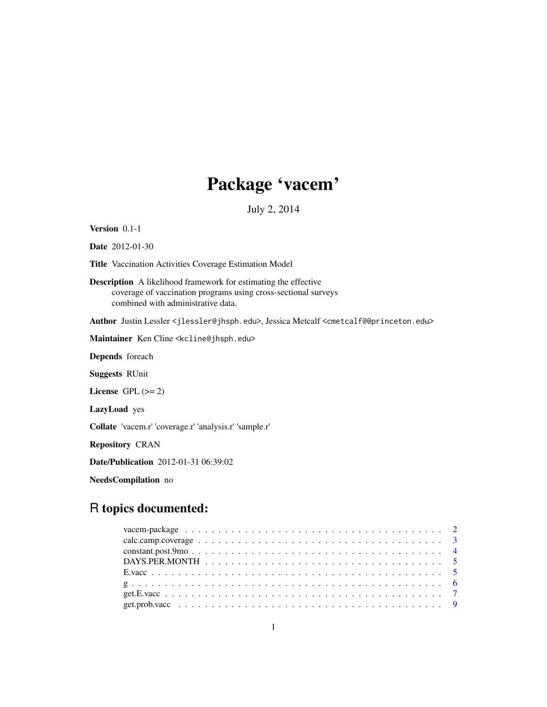# Package 'vacem'

July 2, 2014

Version 0.1-1

Date 2012-01-30

Title Vaccination Activities Coverage Estimation Model

Description A likelihood framework for estimating the effective coverage of vaccination programs using cross-sectional surveys combined with administrative data.

Author Justin Lessler <jlessler@jhsph.edu>, Jessica Metcalf <cmetcalf@@princeton.edu>

Maintainer Ken Cline <kcline@jhsph.edu>

Depends foreach

Suggests RUnit

License GPL  $(>= 2)$ 

LazyLoad yes

Collate 'vacem.r' 'coverage.r' 'analysis.r' 'sample.r'

Repository CRAN

Date/Publication 2012-01-31 06:39:02

NeedsCompilation no

# R topics documented: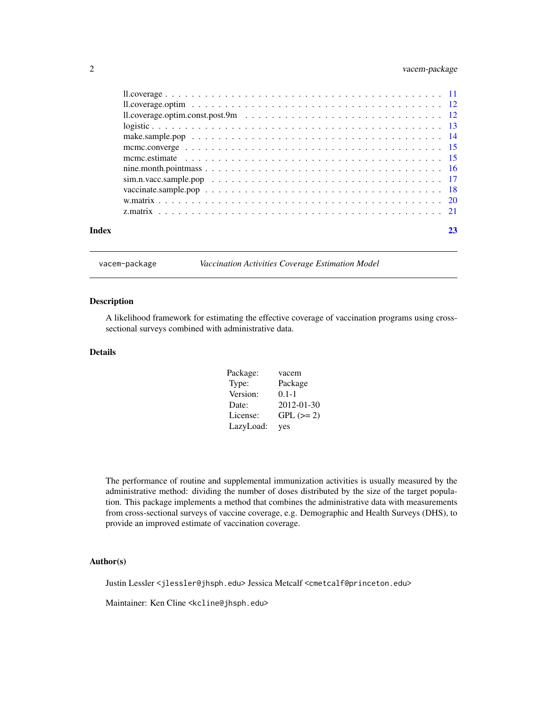# <span id="page-1-0"></span>2 vacem-package

| Index | 23 |
|-------|----|

vacem-package *Vaccination Activities Coverage Estimation Model*

#### Description

A likelihood framework for estimating the effective coverage of vaccination programs using crosssectional surveys combined with administrative data.

### Details

| Package:  | vacem      |
|-----------|------------|
| Type:     | Package    |
| Version:  | $0.1 - 1$  |
| Date:     | 2012-01-30 |
| License:  | $GPL (=2)$ |
| LazyLoad: | yes        |

The performance of routine and supplemental immunization activities is usually measured by the administrative method: dividing the number of doses distributed by the size of the target population. This package implements a method that combines the administrative data with measurements from cross-sectional surveys of vaccine coverage, e.g. Demographic and Health Surveys (DHS), to provide an improved estimate of vaccination coverage.

# Author(s)

Justin Lessler <jlessler@jhsph.edu> Jessica Metcalf <cmetcalf@princeton.edu>

Maintainer: Ken Cline <kcline@jhsph.edu>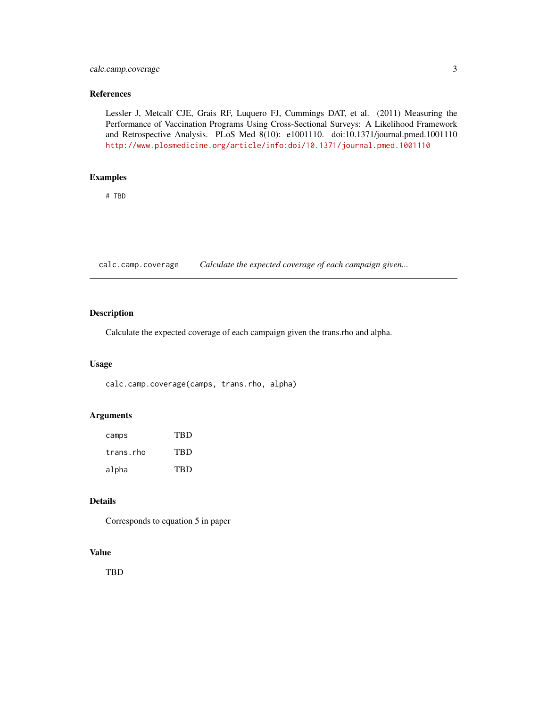# <span id="page-2-0"></span>calc.camp.coverage 3

# References

Lessler J, Metcalf CJE, Grais RF, Luquero FJ, Cummings DAT, et al. (2011) Measuring the Performance of Vaccination Programs Using Cross-Sectional Surveys: A Likelihood Framework and Retrospective Analysis. PLoS Med 8(10): e1001110. doi:10.1371/journal.pmed.1001110 [http://www.plosmedicine.org/article/info:doi/10.1371/journal.pmed.1001110]( http://www.plosmedicine.org/article/info:doi/10.1371/journal.pmed.1001110 )

# Examples

# TBD

calc.camp.coverage *Calculate the expected coverage of each campaign given...*

# Description

Calculate the expected coverage of each campaign given the trans.rho and alpha.

# Usage

calc.camp.coverage(camps, trans.rho, alpha)

# Arguments

| camps     | TRD        |
|-----------|------------|
| trans.rho | <b>TBD</b> |
| alpha     | <b>TRD</b> |

# Details

Corresponds to equation 5 in paper

# Value

TBD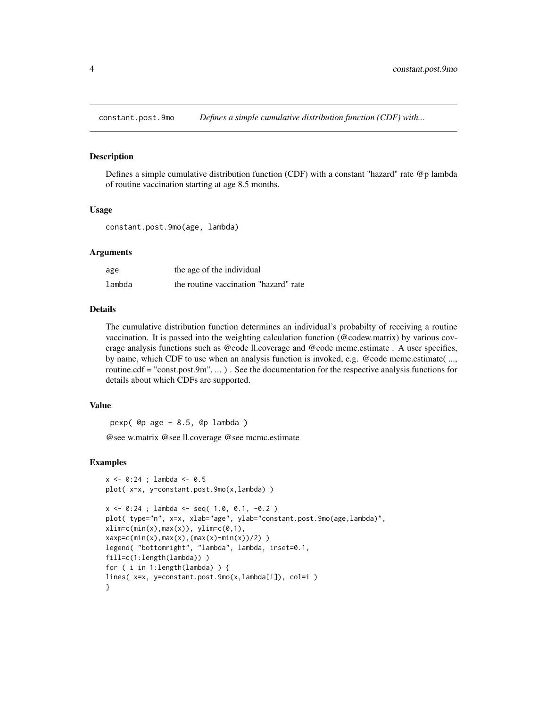<span id="page-3-0"></span>constant.post.9mo *Defines a simple cumulative distribution function (CDF) with...*

# Description

Defines a simple cumulative distribution function (CDF) with a constant "hazard" rate @p lambda of routine vaccination starting at age 8.5 months.

### Usage

```
constant.post.9mo(age, lambda)
```
### Arguments

| age    | the age of the individual             |
|--------|---------------------------------------|
| lambda | the routine vaccination "hazard" rate |

# Details

The cumulative distribution function determines an individual's probabilty of receiving a routine vaccination. It is passed into the weighting calculation function (@codew.matrix) by various coverage analysis functions such as @code ll.coverage and @code mcmc.estimate . A user specifies, by name, which CDF to use when an analysis function is invoked, e.g. @code mcmc.estimate( ..., routine.cdf = "const.post.9m", ... ) . See the documentation for the respective analysis functions for details about which CDFs are supported.

#### Value

pexp( @p age - 8.5, @p lambda )

@see w.matrix @see ll.coverage @see mcmc.estimate

```
x <- 0:24 ; lambda <- 0.5
plot( x=x, y=constant.post.9mo(x,lambda) )
x \le -0.24; lambda \le - seq( 1.0, 0.1, -0.2 )
plot( type="n", x=x, xlab="age", ylab="constant.post.9mo(age,lambda)",
xlim=c(min(x),max(x)), ylim=c(0,1),
xaxy = c(min(x),max(x),(max(x)-min(x))/2))
legend( "bottomright", "lambda", lambda, inset=0.1,
fill=c(1:length(lambda)) )
for ( i in 1:length(lambda) ) {
lines( x=x, y=constant.post.9mo(x,lambda[i]), col=i )
}
```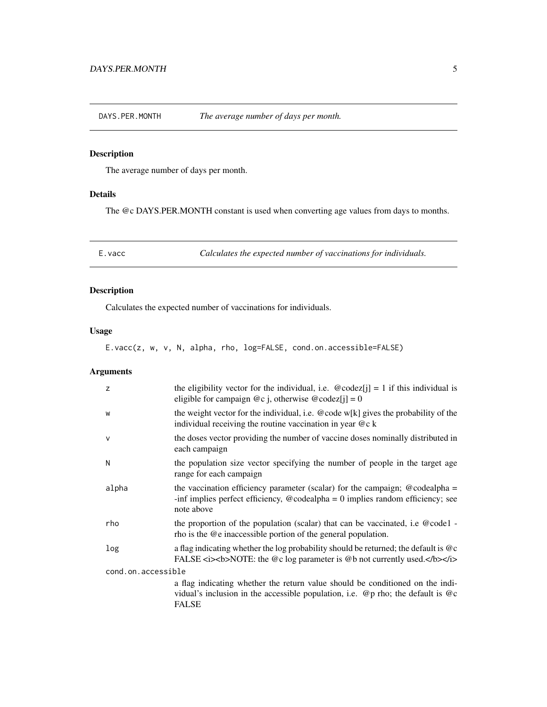<span id="page-4-0"></span>DAYS.PER.MONTH *The average number of days per month.*

# Description

The average number of days per month.

# Details

The @c DAYS.PER.MONTH constant is used when converting age values from days to months.

E.vacc *Calculates the expected number of vaccinations for individuals.*

# Description

Calculates the expected number of vaccinations for individuals.

# Usage

E.vacc(z, w, v, N, alpha, rho, log=FALSE, cond.on.accessible=FALSE)

| z                  | the eligibility vector for the individual, i.e. $\omega$ codez[j] = 1 if this individual is<br>eligible for campaign $@c j$ , otherwise $@codez[i] = 0$                                                              |  |
|--------------------|----------------------------------------------------------------------------------------------------------------------------------------------------------------------------------------------------------------------|--|
| W                  | the weight vector for the individual, i.e. @code $w[k]$ gives the probability of the<br>individual receiving the routine vaccination in year $@c k$                                                                  |  |
| $\mathsf{V}$       | the doses vector providing the number of vaccine doses nominally distributed in<br>each campaign                                                                                                                     |  |
| N                  | the population size vector specifying the number of people in the target age<br>range for each campaign                                                                                                              |  |
| alpha              | the vaccination efficiency parameter (scalar) for the campaign; $@codealpha =$<br>-inf implies perfect efficiency, $@$ codealpha = 0 implies random efficiency; see<br>note above                                    |  |
| rho                | the proportion of the population (scalar) that can be vaccinated, i.e $@code1 -$<br>rho is the @e inaccessible portion of the general population.                                                                    |  |
| log                | a flag indicating whether the log probability should be returned; the default is $@c$<br>FALSE $\langle i \rangle$ -stock SNOTE: the @c log parameter is @b not currently used. $\langle$ b $\rangle$ -s/i $\rangle$ |  |
| cond.on.accessible |                                                                                                                                                                                                                      |  |
|                    | a flag indicating whether the return value should be conditioned on the indi-<br>vidual's inclusion in the accessible population, i.e. $\mathcal{Q}_p$ rho; the default is $\mathcal{Q}_c$<br><b>FALSE</b>           |  |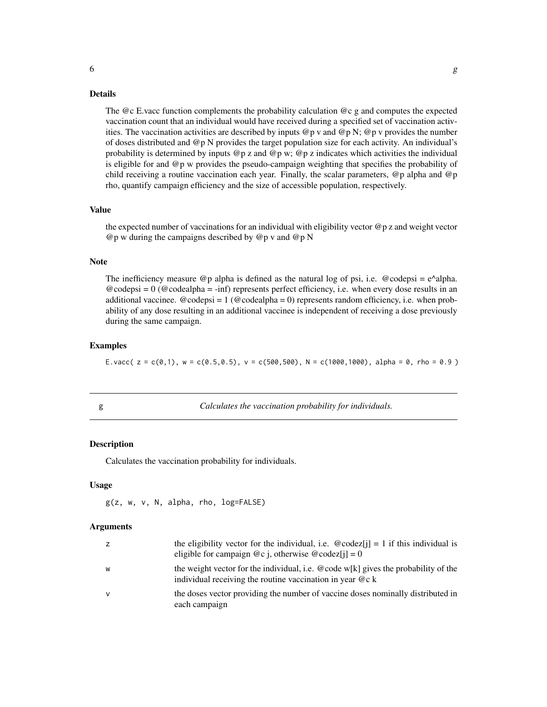#### <span id="page-5-0"></span>Details

The @c E.vacc function complements the probability calculation @c g and computes the expected vaccination count that an individual would have received during a specified set of vaccination activities. The vaccination activities are described by inputs  $\mathcal{Q}_p$  v and  $\mathcal{Q}_p$  N;  $\mathcal{Q}_p$  v provides the number of doses distributed and @p N provides the target population size for each activity. An individual's probability is determined by inputs  $@p z$  and  $@p w$ ;  $@p z$  indicates which activities the individual is eligible for and @p w provides the pseudo-campaign weighting that specifies the probability of child receiving a routine vaccination each year. Finally, the scalar parameters, @p alpha and @p rho, quantify campaign efficiency and the size of accessible population, respectively.

### Value

the expected number of vaccinations for an individual with eligibility vector  $\mathcal{Q}_p$  z and weight vector @p w during the campaigns described by @p v and @p N

#### Note

The inefficiency measure  $\mathcal{Q}_p$  alpha is defined as the natural log of psi, i.e.  $\mathcal{Q}_q$  codepsi = e^alpha.  $@codepsi = 0 (@codealpha = -inf)$  represents perfect efficiency, i.e. when every dose results in an additional vaccinee.  $@codepsi = 1 (@codealpha = 0)$  represents random efficiency, i.e. when probability of any dose resulting in an additional vaccinee is independent of receiving a dose previously during the same campaign.

# Examples

E.vacc(  $z = c(0,1)$ ,  $w = c(0.5,0.5)$ ,  $v = c(500,500)$ ,  $N = c(1000,1000)$ , alpha = 0, rho = 0.9 )

g *Calculates the vaccination probability for individuals.*

#### Description

Calculates the vaccination probability for individuals.

### Usage

g(z, w, v, N, alpha, rho, log=FALSE)

| Z. | the eligibility vector for the individual, i.e. $\omega$ codez[j] = 1 if this individual is<br>eligible for campaign $@c$ j, otherwise $@codez[i] = 0$ |
|----|--------------------------------------------------------------------------------------------------------------------------------------------------------|
| w  | the weight vector for the individual, i.e. @code w[k] gives the probability of the<br>individual receiving the routine vaccination in year $@c k$      |
| v  | the doses vector providing the number of vaccine doses nominally distributed in<br>each campaign                                                       |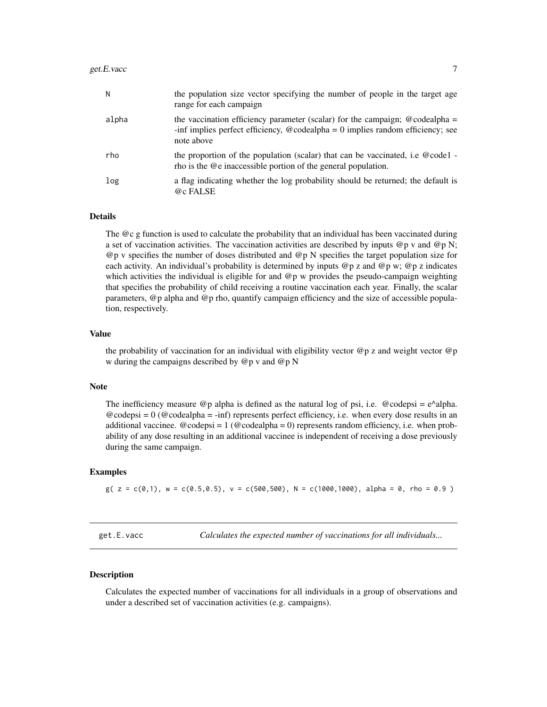<span id="page-6-0"></span>

| N     | the population size vector specifying the number of people in the target age<br>range for each campaign                                                                                      |
|-------|----------------------------------------------------------------------------------------------------------------------------------------------------------------------------------------------|
| alpha | the vaccination efficiency parameter (scalar) for the campaign; $\omega$ codealpha =<br>-inf implies perfect efficiency, $\omega$ codealpha = 0 implies random efficiency; see<br>note above |
| rho   | the proportion of the population (scalar) that can be vaccinated, i.e $@code1 -$<br>rho is the @e inaccessible portion of the general population.                                            |
| log   | a flag indicating whether the log probability should be returned; the default is                                                                                                             |

#### Details

@c FALSE

The @c g function is used to calculate the probability that an individual has been vaccinated during a set of vaccination activities. The vaccination activities are described by inputs  $@p$  v and  $@p$  N; @p v specifies the number of doses distributed and @p N specifies the target population size for each activity. An individual's probability is determined by inputs  $@p z$  and  $@p w$ ;  $@p z$  indicates which activities the individual is eligible for and  $@p$  w provides the pseudo-campaign weighting that specifies the probability of child receiving a routine vaccination each year. Finally, the scalar parameters, @p alpha and @p rho, quantify campaign efficiency and the size of accessible population, respectively.

#### Value

the probability of vaccination for an individual with eligibility vector @p z and weight vector @p w during the campaigns described by @p v and @p N

#### Note

The inefficiency measure  $@p$  alpha is defined as the natural log of psi, i.e.  $@codepsi = e^{\lambda}$ alpha.  $@codepsi = 0 (@codealpha = -inf)$  represents perfect efficiency, i.e. when every dose results in an additional vaccinee.  $@codepsi = 1 (@codealpha = 0)$  represents random efficiency, i.e. when probability of any dose resulting in an additional vaccinee is independent of receiving a dose previously during the same campaign.

# Examples

 $g( z = c(0,1), w = c(0.5,0.5), v = c(500,500), N = c(1000,1000), alpha = 0, rho = 0.9)$ 

get.E.vacc *Calculates the expected number of vaccinations for all individuals...*

# Description

Calculates the expected number of vaccinations for all individuals in a group of observations and under a described set of vaccination activities (e.g. campaigns).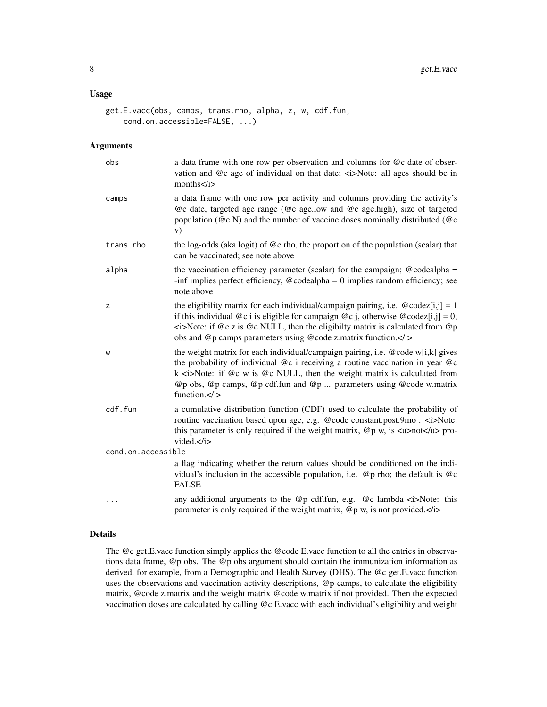# Usage

```
get.E.vacc(obs, camps, trans.rho, alpha, z, w, cdf.fun,
    cond.on.accessible=FALSE, ...)
```
# Arguments

| obs                | a data frame with one row per observation and columns for @c date of obser-<br>vation and @c age of individual on that date; <i>Note: all ages should be in<br/>months</i>                                                                                                                                                                                                        |
|--------------------|-----------------------------------------------------------------------------------------------------------------------------------------------------------------------------------------------------------------------------------------------------------------------------------------------------------------------------------------------------------------------------------|
| camps              | a data frame with one row per activity and columns providing the activity's<br>@c date, targeted age range (@c age.low and @c age.high), size of targeted<br>population ( $@c N$ ) and the number of vaccine doses nominally distributed ( $@c$<br>V)                                                                                                                             |
| trans.rho          | the log-odds (aka logit) of $@c$ rho, the proportion of the population (scalar) that<br>can be vaccinated; see note above                                                                                                                                                                                                                                                         |
| alpha              | the vaccination efficiency parameter (scalar) for the campaign; $@codealpha =$<br>-inf implies perfect efficiency, $@codealpha = 0$ implies random efficiency; see<br>note above                                                                                                                                                                                                  |
| z                  | the eligibility matrix for each individual/campaign pairing, i.e. $\omega$ codez[i,j] = 1<br>if this individual $@c$ i is eligible for campaign $@c$ j, otherwise $@codez[i,j] = 0;$<br>$\leq$ i>Note: if @c z is @c NULL, then the eligibilty matrix is calculated from @p<br>obs and @p camps parameters using @code z.matrix function.                                         |
| W                  | the weight matrix for each individual/campaign pairing, i.e. @code w[i,k] gives<br>the probability of individual $@c$ i receiving a routine vaccination in year $@c$<br>$k$ <i<math>&gt;Note: if @c w is @c NULL, then the weight matrix is calculated from<br/>@p obs, @p camps, @p cdf.fun and @p  parameters using @code w.matrix<br/>function.<math>\lt/</math>i&gt;</i<math> |
| cdf.fun            | a cumulative distribution function (CDF) used to calculate the probability of<br>routine vaccination based upon age, e.g. @code constant.post.9mo. <i>Note:<br/>this parameter is only required if the weight matrix, <math>@p w</math>, is <math>\langle u \rangle</math>not<math>\langle u \rangle</math> pro-<br/>vided.<math>\lt/</math>i&gt;</i>                             |
| cond.on.accessible |                                                                                                                                                                                                                                                                                                                                                                                   |
|                    | a flag indicating whether the return values should be conditioned on the indi-<br>vidual's inclusion in the accessible population, i.e. $\mathcal{Q}_p$ rho; the default is $\mathcal{Q}_c$<br><b>FALSE</b>                                                                                                                                                                       |
|                    | any additional arguments to the @p cdf.fun, e.g. @c lambda $\langle i \rangle$ Note: this<br>parameter is only required if the weight matrix, $@p w$ , is not provided. $\langle z \rangle$                                                                                                                                                                                       |

# Details

The @c get.E.vacc function simply applies the @code E.vacc function to all the entries in observations data frame, @p obs. The @p obs argument should contain the immunization information as derived, for example, from a Demographic and Health Survey (DHS). The @c get.E.vacc function uses the observations and vaccination activity descriptions, @p camps, to calculate the eligibility matrix, @code z.matrix and the weight matrix @code w.matrix if not provided. Then the expected vaccination doses are calculated by calling @c E.vacc with each individual's eligibility and weight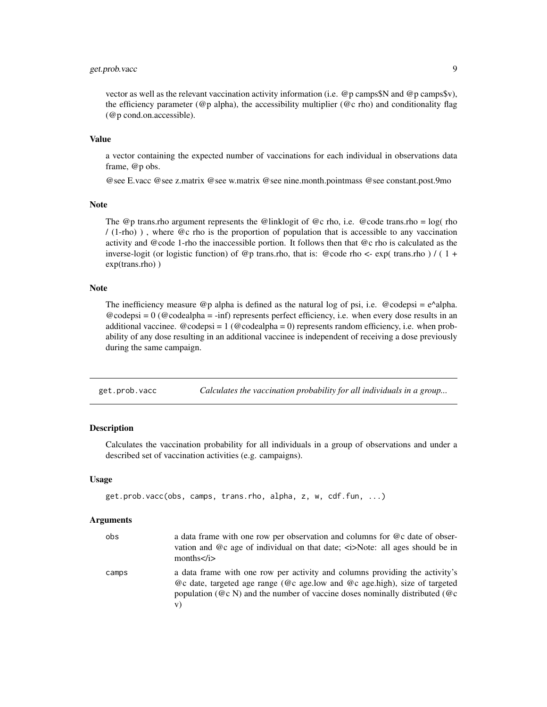# <span id="page-8-0"></span>get.prob.vacc 9

vector as well as the relevant vaccination activity information (i.e. @p camps\$N and @p camps\$v), the efficiency parameter ( $@p$  alpha), the accessibility multiplier ( $@c$  rho) and conditionality flag (@p cond.on.accessible).

#### Value

a vector containing the expected number of vaccinations for each individual in observations data frame, @p obs.

@see E.vacc @see z.matrix @see w.matrix @see nine.month.pointmass @see constant.post.9mo

### Note

The  $@p$  trans.rho argument represents the  $@linklog$  if  $@c$  rho, i.e.  $@code$  trans.rho = log( rho / (1-rho) ) , where @c rho is the proportion of population that is accessible to any vaccination activity and @code 1-rho the inaccessible portion. It follows then that @c rho is calculated as the inverse-logit (or logistic function) of @p trans.rho, that is: @code rho <- exp( trans.rho ) / (1 + exp(trans.rho) )

#### Note

The inefficiency measure  $\mathcal{Q}_p$  alpha is defined as the natural log of psi, i.e.  $\mathcal{Q}_q$  codepsi = e^alpha.  $\textcircled{e}$  codepsi = 0 ( $\textcircled{e}$  codealpha = -inf) represents perfect efficiency, i.e. when every dose results in an additional vaccinee.  $@codepsi = 1 (@codealpha = 0)$  represents random efficiency, i.e. when probability of any dose resulting in an additional vaccinee is independent of receiving a dose previously during the same campaign.

get.prob.vacc *Calculates the vaccination probability for all individuals in a group...*

#### Description

Calculates the vaccination probability for all individuals in a group of observations and under a described set of vaccination activities (e.g. campaigns).

# Usage

```
get.prob.vacc(obs, camps, trans.rho, alpha, z, w, cdf.fun, ...)
```

| obs   | a data frame with one row per observation and columns for @c date of obser-<br>vation and $@c$ age of individual on that date; $\langle \angle s \rangle$ Note: all ages should be in<br>months $\langle i \rangle$                                          |
|-------|--------------------------------------------------------------------------------------------------------------------------------------------------------------------------------------------------------------------------------------------------------------|
| camps | a data frame with one row per activity and columns providing the activity's<br>$@c$ date, targeted age range ( $@c$ age.low and $@c$ age.high), size of targeted<br>population ( $@c N$ ) and the number of vaccine doses nominally distributed ( $@c$<br>V) |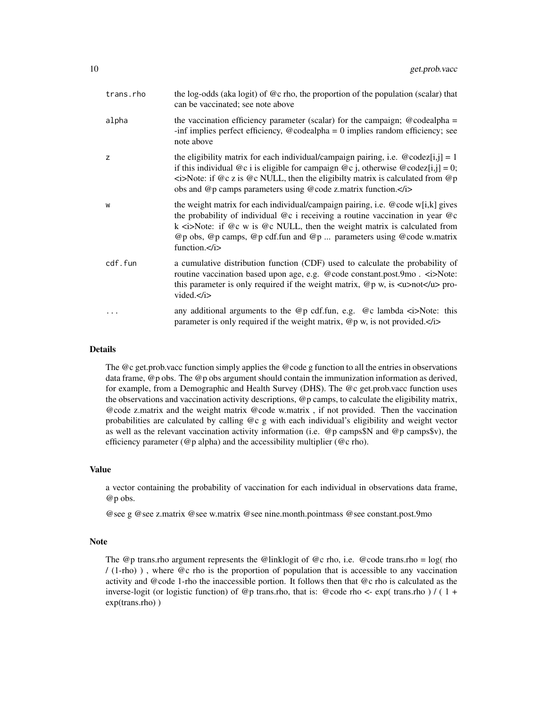| trans.rho | the log-odds (aka logit) of $@c$ rho, the proportion of the population (scalar) that<br>can be vaccinated; see note above                                                                                                                                                                                                                                         |
|-----------|-------------------------------------------------------------------------------------------------------------------------------------------------------------------------------------------------------------------------------------------------------------------------------------------------------------------------------------------------------------------|
| alpha     | the vaccination efficiency parameter (scalar) for the campaign; $@codealpha =$<br>-inf implies perfect efficiency, $@$ codealpha = 0 implies random efficiency; see<br>note above                                                                                                                                                                                 |
| z         | the eligibility matrix for each individual/campaign pairing, i.e. $\omega$ codez[i,j] = 1<br>if this individual $@c$ i is eligible for campaign $@c$ j, otherwise $@codez[i,j] = 0;$<br>$\leq$ i>Note: if @c z is @c NULL, then the eligibilty matrix is calculated from @p<br>obs and @p camps parameters using @code z.matrix function.                         |
| W         | the weight matrix for each individual/campaign pairing, i.e. @code w[i,k] gives<br>the probability of individual $@c$ i receiving a routine vaccination in year $@c$<br>k $\langle$ i>Note: if @c w is @c NULL, then the weight matrix is calculated from<br>$@p$ obs, $@p$ camps, $@p$ cdf.fun and $@p$ parameters using $@code$ w.matrix<br>function. $\lt/$ i> |
| cdf.fun   | a cumulative distribution function (CDF) used to calculate the probability of<br>routine vaccination based upon age, e.g. @code constant.post.9mo. <i>Note:<br/>this parameter is only required if the weight matrix, <math>@p w</math>, is <math>\langle u \rangle</math> not<math>\langle u \rangle</math> pro-<br/>vided.<math>\lt/</math>i&gt;</i>            |
| .         | any additional arguments to the @p cdf.fun, e.g. @c lambda $\langle i \rangle$ Note: this<br>parameter is only required if the weight matrix, $@p w$ , is not provided. $\langle z \rangle$                                                                                                                                                                       |

## Details

The @c get.prob.vacc function simply applies the @code g function to all the entries in observations data frame, @p obs. The @p obs argument should contain the immunization information as derived, for example, from a Demographic and Health Survey (DHS). The @c get.prob.vacc function uses the observations and vaccination activity descriptions, @p camps, to calculate the eligibility matrix, @code z.matrix and the weight matrix @code w.matrix , if not provided. Then the vaccination probabilities are calculated by calling @c g with each individual's eligibility and weight vector as well as the relevant vaccination activity information (i.e. @p camps\$N and @p camps\$v), the efficiency parameter (@p alpha) and the accessibility multiplier (@c rho).

#### Value

a vector containing the probability of vaccination for each individual in observations data frame, @p obs.

@see g @see z.matrix @see w.matrix @see nine.month.pointmass @see constant.post.9mo

#### Note

The @p trans.rho argument represents the @linklogit of @c rho, i.e. @code trans.rho = log( rho / (1-rho) ) , where @c rho is the proportion of population that is accessible to any vaccination activity and @code 1-rho the inaccessible portion. It follows then that @c rho is calculated as the inverse-logit (or logistic function) of @p trans.rho, that is: @code rho <- exp( trans.rho ) / ( 1 + exp(trans.rho) )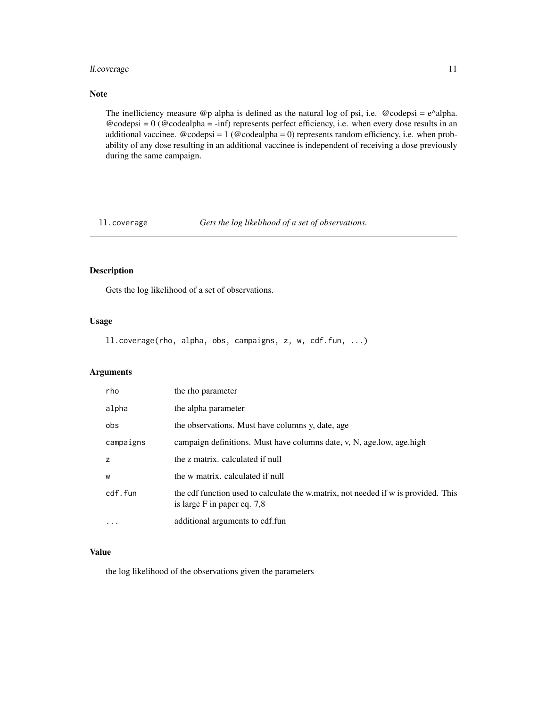# <span id="page-10-0"></span>ll.coverage 11

# Note

The inefficiency measure  $@p$  alpha is defined as the natural log of psi, i.e.  $@codepsi = e^{\lambda}$ alpha.  $@codepsi = 0 (@codealpha = -inf)$  represents perfect efficiency, i.e. when every dose results in an additional vaccinee.  $@codepsi = 1 (@codealpha = 0)$  represents random efficiency, i.e. when probability of any dose resulting in an additional vaccinee is independent of receiving a dose previously during the same campaign.

ll.coverage *Gets the log likelihood of a set of observations.*

# Description

Gets the log likelihood of a set of observations.

# Usage

ll.coverage(rho, alpha, obs, campaigns, z, w, cdf.fun, ...)

#### Arguments

| rho       | the rho parameter                                                                                                 |
|-----------|-------------------------------------------------------------------------------------------------------------------|
| alpha     | the alpha parameter                                                                                               |
| obs       | the observations. Must have columns y, date, age                                                                  |
| campaigns | campaign definitions. Must have columns date, v, N, age.low, age.high                                             |
| z         | the z matrix, calculated if null                                                                                  |
| W         | the w matrix, calculated if null                                                                                  |
| cdf.fun   | the cdf function used to calculate the w.matrix, not needed if w is provided. This<br>is large F in paper eq. 7,8 |
| $\cdots$  | additional arguments to cdf.fun                                                                                   |

# Value

the log likelihood of the observations given the parameters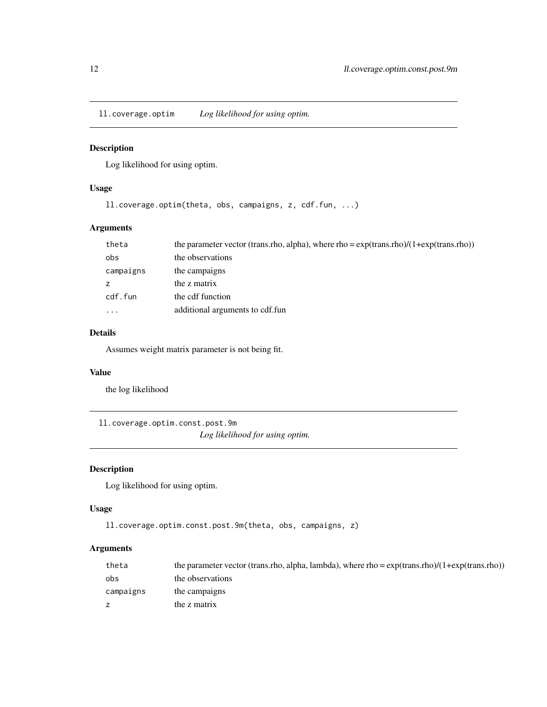<span id="page-11-0"></span>ll.coverage.optim *Log likelihood for using optim.*

# Description

Log likelihood for using optim.

# Usage

```
ll.coverage.optim(theta, obs, campaigns, z, cdf.fun, ...)
```
# Arguments

| theta     | the parameter vector (trans.rho, alpha), where rho = $\exp(\text{trans.rho})/(1+\exp(\text{trans.rho}))$ |
|-----------|----------------------------------------------------------------------------------------------------------|
| obs       | the observations                                                                                         |
| campaigns | the campaigns                                                                                            |
| z         | the z matrix                                                                                             |
| cdf.fun   | the cdf function                                                                                         |
| $\cdots$  | additional arguments to cdf.fun                                                                          |

# Details

Assumes weight matrix parameter is not being fit.

# Value

the log likelihood

ll.coverage.optim.const.post.9m

*Log likelihood for using optim.*

# Description

Log likelihood for using optim.

## Usage

```
ll.coverage.optim.const.post.9m(theta, obs, campaigns, z)
```

| theta     | the parameter vector (trans.rho, alpha, lambda), where rho = $\exp(\text{trans.rho})/(1+\exp(\text{trans.rho}))$ |
|-----------|------------------------------------------------------------------------------------------------------------------|
| obs       | the observations                                                                                                 |
| campaigns | the campaigns                                                                                                    |
|           | the z matrix                                                                                                     |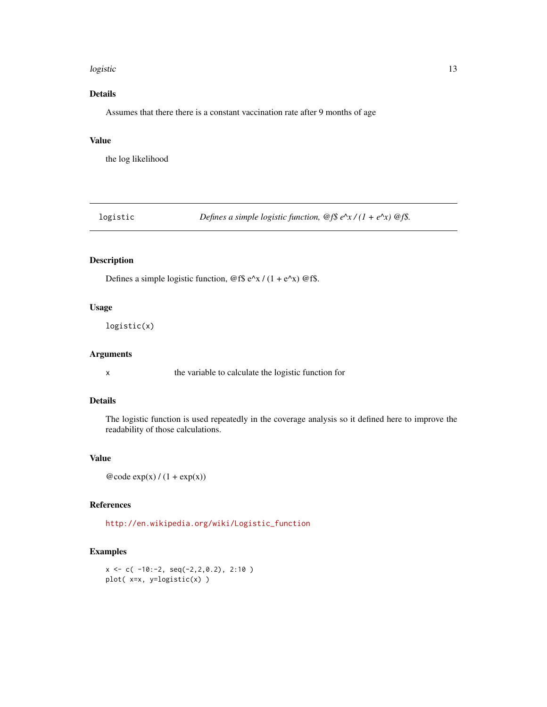#### <span id="page-12-0"></span>logistic and the contract of the contract of the contract of the contract of the contract of the contract of the contract of the contract of the contract of the contract of the contract of the contract of the contract of t

# Details

Assumes that there there is a constant vaccination rate after 9 months of age

# Value

the log likelihood

logistic *Defines a simple logistic function, @f\$ e^x / (1 + e^x) @f\$.*

# Description

Defines a simple logistic function,  $@f$ \$ e^x / (1 + e^x)  $@f$ \$.

# Usage

logistic(x)

# Arguments

x the variable to calculate the logistic function for

# Details

The logistic function is used repeatedly in the coverage analysis so it defined here to improve the readability of those calculations.

# Value

 $@code\exp(x) / (1 + exp(x))$ 

# References

[http://en.wikipedia.org/wiki/Logistic\\_function]( http://en.wikipedia.org/wiki/Logistic_function )

```
x \leq -c(-10:-2, \text{seq}(-2,2,0.2), 2:10)plot( x=x, y=logistic(x) )
```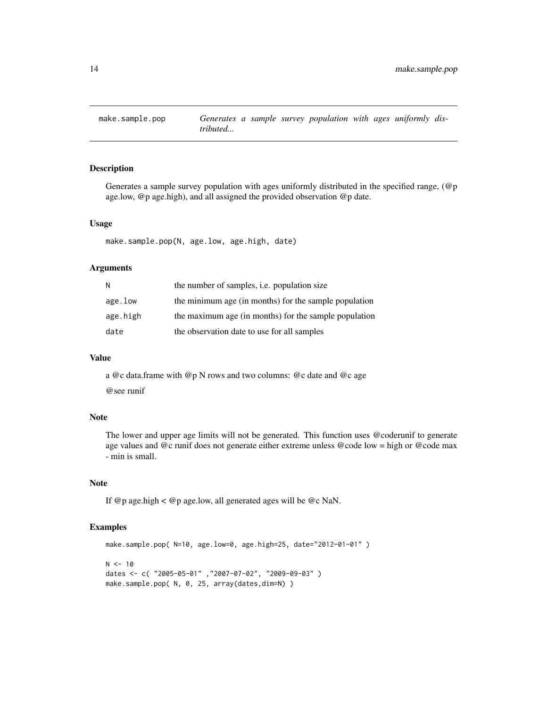<span id="page-13-0"></span>

# Description

Generates a sample survey population with ages uniformly distributed in the specified range,  $(\mathcal{Q}_p)$ age.low, @p age.high), and all assigned the provided observation @p date.

#### Usage

make.sample.pop(N, age.low, age.high, date)

#### Arguments

| N        | the number of samples, <i>i.e.</i> population size    |
|----------|-------------------------------------------------------|
| age.low  | the minimum age (in months) for the sample population |
| age.high | the maximum age (in months) for the sample population |
| date     | the observation date to use for all samples           |

#### Value

a @c data.frame with @p N rows and two columns: @c date and @c age @see runif

# Note

The lower and upper age limits will not be generated. This function uses @coderunif to generate age values and @c runif does not generate either extreme unless @code low = high or @code max - min is small.

#### Note

If @p age.high < @p age.low, all generated ages will be @c NaN.

```
make.sample.pop( N=10, age.low=0, age.high=25, date="2012-01-01" )
N < -10dates <- c( "2005-05-01" ,"2007-07-02", "2009-09-03" )
make.sample.pop( N, 0, 25, array(dates,dim=N) )
```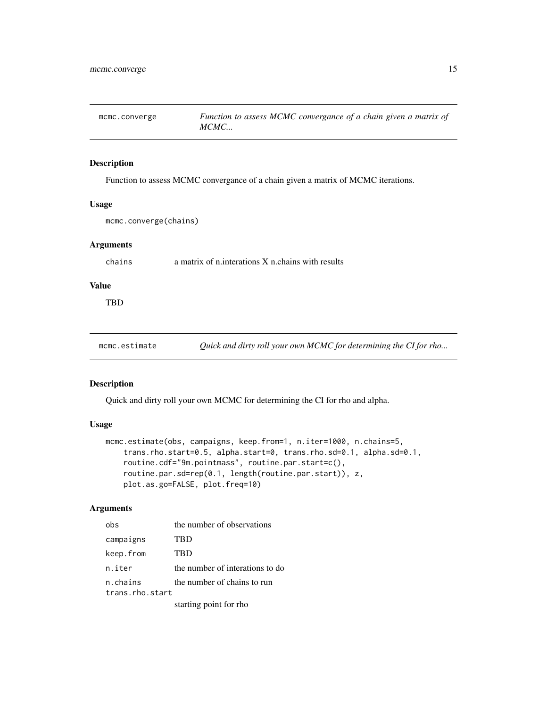<span id="page-14-0"></span>

# Description

Function to assess MCMC convergance of a chain given a matrix of MCMC iterations.

### Usage

mcmc.converge(chains)

# Arguments

chains a matrix of n.interations X n.chains with results

# Value

**TBD** 

mcmc.estimate *Quick and dirty roll your own MCMC for determining the CI for rho...*

# Description

Quick and dirty roll your own MCMC for determining the CI for rho and alpha.

# Usage

```
mcmc.estimate(obs, campaigns, keep.from=1, n.iter=1000, n.chains=5,
    trans.rho.start=0.5, alpha.start=0, trans.rho.sd=0.1, alpha.sd=0.1,
   routine.cdf="9m.pointmass", routine.par.start=c(),
   routine.par.sd=rep(0.1, length(routine.par.start)), z,
   plot.as.go=FALSE, plot.freq=10)
```

| ohs                         | the number of observations      |
|-----------------------------|---------------------------------|
| campaigns                   | TBD                             |
| keep.from                   | <b>TBD</b>                      |
| n.iter                      | the number of interations to do |
| n.chains<br>trans.rho.start | the number of chains to run     |
|                             | starting point for rho          |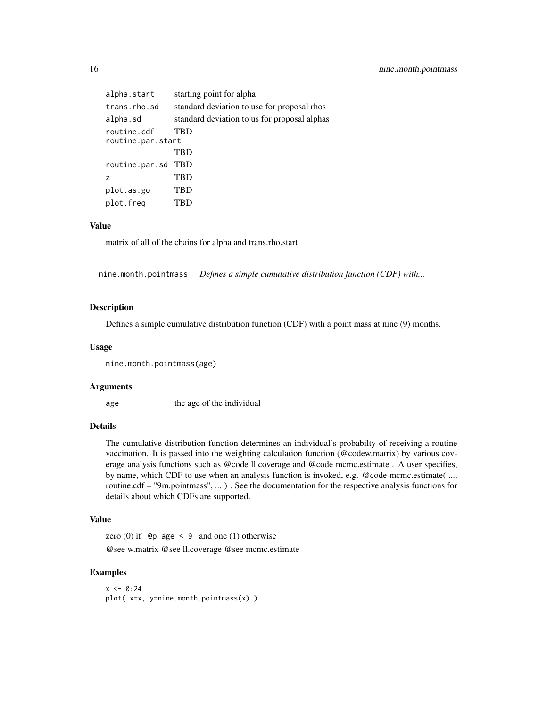<span id="page-15-0"></span>

| alpha.start       | starting point for alpha                     |
|-------------------|----------------------------------------------|
| trans.rho.sd      | standard deviation to use for proposal rhos  |
| alpha.sd          | standard deviation to us for proposal alphas |
| routine.cdf       | TBD                                          |
| routine.par.start |                                              |
|                   | TBD                                          |
| routine.par.sd    | TBD                                          |
| z                 | TBD                                          |
| plot.as.go        | TBD                                          |
| plot.freq         | TBD                                          |

#### Value

matrix of all of the chains for alpha and trans.rho.start

nine.month.pointmass *Defines a simple cumulative distribution function (CDF) with...*

# Description

Defines a simple cumulative distribution function (CDF) with a point mass at nine (9) months.

#### Usage

```
nine.month.pointmass(age)
```
#### Arguments

age the age of the individual

#### Details

The cumulative distribution function determines an individual's probabilty of receiving a routine vaccination. It is passed into the weighting calculation function (@codew.matrix) by various coverage analysis functions such as @code ll.coverage and @code mcmc.estimate . A user specifies, by name, which CDF to use when an analysis function is invoked, e.g. @code mcmc.estimate( ..., routine.cdf = "9m.pointmass", ... ) . See the documentation for the respective analysis functions for details about which CDFs are supported.

### Value

zero  $(0)$  if  $\Theta$  age < 9 and one  $(1)$  otherwise @see w.matrix @see ll.coverage @see mcmc.estimate

```
x < -0.24plot( x=x, y=nine.month.pointmass(x) )
```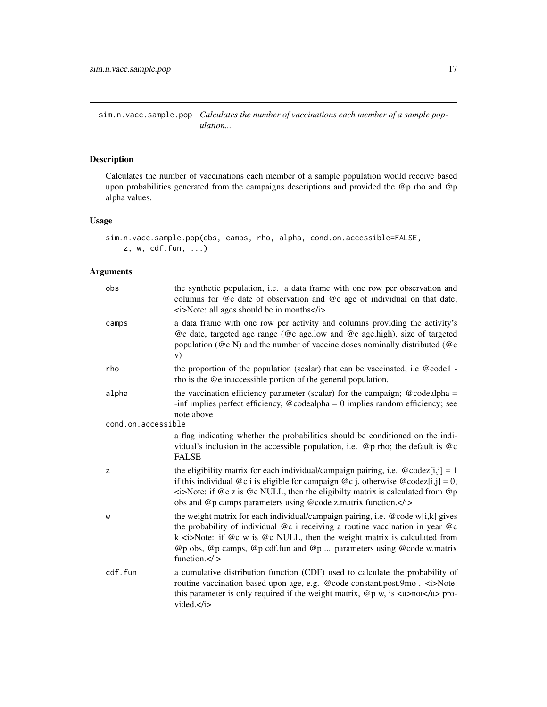<span id="page-16-0"></span>sim.n.vacc.sample.pop *Calculates the number of vaccinations each member of a sample population...*

# Description

Calculates the number of vaccinations each member of a sample population would receive based upon probabilities generated from the campaigns descriptions and provided the @p rho and @p alpha values.

# Usage

```
sim.n.vacc.sample.pop(obs, camps, rho, alpha, cond.on.accessible=FALSE,
   z, w, cdf.fun, ...)
```

| obs                | the synthetic population, i.e. a data frame with one row per observation and<br>columns for @c date of observation and @c age of individual on that date;<br>$\langle i \rangle$ Note: all ages should be in months $\langle i \rangle$                                                                                                               |
|--------------------|-------------------------------------------------------------------------------------------------------------------------------------------------------------------------------------------------------------------------------------------------------------------------------------------------------------------------------------------------------|
| camps              | a data frame with one row per activity and columns providing the activity's<br>@c date, targeted age range (@c age.low and @c age.high), size of targeted<br>population ( $@c N$ ) and the number of vaccine doses nominally distributed ( $@c$<br>V)                                                                                                 |
| rho                | the proportion of the population (scalar) that can be vaccinated, i.e @code1 -<br>rho is the @e inaccessible portion of the general population.                                                                                                                                                                                                       |
| alpha              | the vaccination efficiency parameter (scalar) for the campaign; $@codealpha =$<br>-inf implies perfect efficiency, $@$ codealpha = 0 implies random efficiency; see<br>note above                                                                                                                                                                     |
| cond.on.accessible |                                                                                                                                                                                                                                                                                                                                                       |
|                    | a flag indicating whether the probabilities should be conditioned on the indi-<br>vidual's inclusion in the accessible population, i.e. $\mathcal{Q}_p$ rho; the default is $\mathcal{Q}_c$<br><b>FALSE</b>                                                                                                                                           |
| z                  | the eligibility matrix for each individual/campaign pairing, i.e. $\omega$ codez[i,j] = 1<br>if this individual @c i is eligible for campaign @c j, otherwise @codez[i,j] = 0;<br>$\leq$ i>Note: if @c z is @c NULL, then the eligibilty matrix is calculated from @p<br>obs and @p camps parameters using @code z.matrix function.                   |
| W                  | the weight matrix for each individual/campaign pairing, i.e. @code w[i,k] gives<br>the probability of individual $@c$ i receiving a routine vaccination in year $@c$<br>$k \le i$ >Note: if @c w is @c NULL, then the weight matrix is calculated from<br>@p obs, @p camps, @p cdf.fun and @p  parameters using @code w.matrix<br>function. $\lt/$ i> |
| cdf.fun            | a cumulative distribution function (CDF) used to calculate the probability of<br>routine vaccination based upon age, e.g. @code constant.post.9mo. <i>Note:<br/>this parameter is only required if the weight matrix, <math>@p w</math>, is <math>\langle w \rangle</math>not<math>\langle w \rangle</math> pro-<br/>vided.<math>\lt/</math>i&gt;</i> |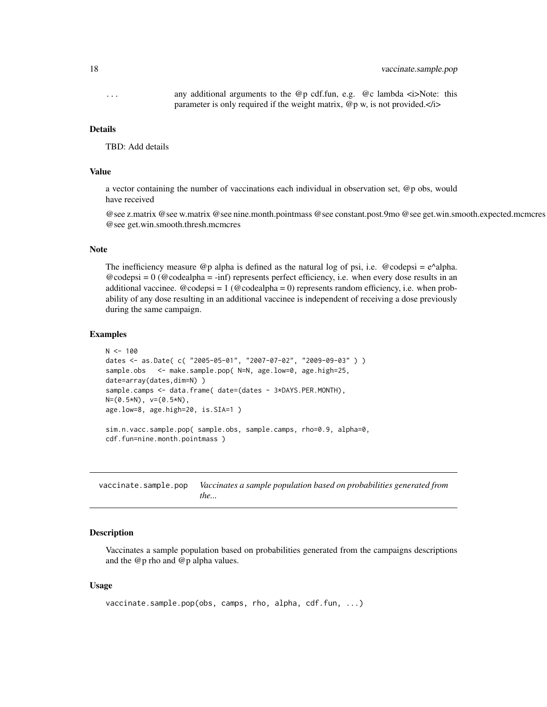# <span id="page-17-0"></span>18 vaccinate.sample.pop

... any additional arguments to the @p cdf.fun, e.g. @c lambda <i>Note: this parameter is only required if the weight matrix, @p w, is not provided.</i>

#### Details

TBD: Add details

# Value

a vector containing the number of vaccinations each individual in observation set, @p obs, would have received

@see z.matrix @see w.matrix @see nine.month.pointmass @see constant.post.9mo @see get.win.smooth.expected.mcmcres @see get.win.smooth.thresh.mcmcres

#### **Note**

The inefficiency measure  $\mathcal{Q}_p$  alpha is defined as the natural log of psi, i.e.  $\mathcal{Q}_q$  codepsi = e^alpha.  $@codepsi = 0 (@codealpha = -inf)$  represents perfect efficiency, i.e. when every dose results in an additional vaccinee.  $@codepsi = 1 (@codealpha = 0)$  represents random efficiency, i.e. when probability of any dose resulting in an additional vaccinee is independent of receiving a dose previously during the same campaign.

#### Examples

```
N < - 100dates <- as.Date( c( "2005-05-01", "2007-07-02", "2009-09-03" ) )
sample.obs <- make.sample.pop( N=N, age.low=0, age.high=25,
date=array(dates,dim=N))
sample.camps <- data.frame( date=(dates - 3*DAYS.PER.MONTH),
N=(0.5*N), v=(0.5*N),
age.low=8, age.high=20, is.SIA=1 )
sim.n.vacc.sample.pop( sample.obs, sample.camps, rho=0.9, alpha=0,
```
cdf.fun=nine.month.pointmass )

vaccinate.sample.pop *Vaccinates a sample population based on probabilities generated from the...*

# Description

Vaccinates a sample population based on probabilities generated from the campaigns descriptions and the @p rho and @p alpha values.

# Usage

```
vaccinate.sample.pop(obs, camps, rho, alpha, cdf.fun, ...)
```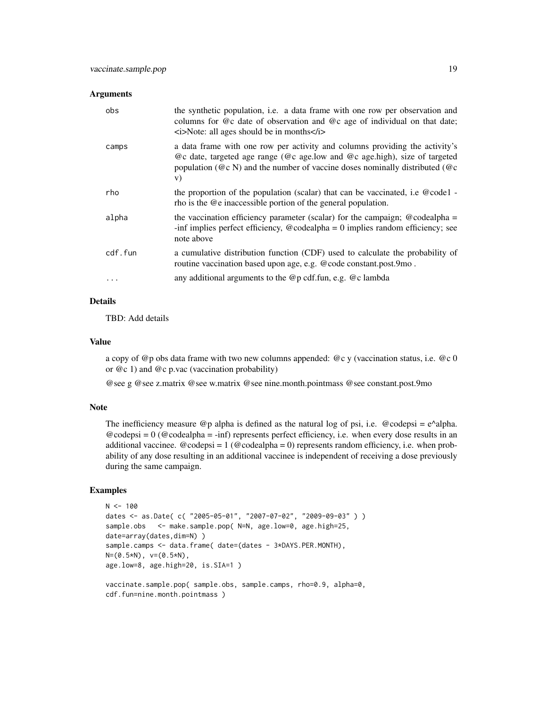#### Arguments

| obs     | the synthetic population, i.e. a data frame with one row per observation and<br>columns for @c date of observation and @c age of individual on that date;<br>$\langle i \rangle$ Note: all ages should be in months $\langle i \rangle$                      |
|---------|--------------------------------------------------------------------------------------------------------------------------------------------------------------------------------------------------------------------------------------------------------------|
| camps   | a data frame with one row per activity and columns providing the activity's<br>$@c$ date, targeted age range ( $@c$ age.low and $@c$ age.high), size of targeted<br>population ( $@c N$ ) and the number of vaccine doses nominally distributed ( $@c$<br>V) |
| rho     | the proportion of the population (scalar) that can be vaccinated, i.e @code1 -<br>rho is the @e inaccessible portion of the general population.                                                                                                              |
| alpha   | the vaccination efficiency parameter (scalar) for the campaign; $@codealpha =$<br>-inf implies perfect efficiency, $@$ codealpha = 0 implies random efficiency; see<br>note above                                                                            |
| cdf.fun | a cumulative distribution function (CDF) used to calculate the probability of<br>routine vaccination based upon age, e.g. @code constant.post.9mo.                                                                                                           |
|         | any additional arguments to the $@p$ cdf. fun, e.g. $@c$ lambda                                                                                                                                                                                              |

# Details

TBD: Add details

# Value

a copy of @p obs data frame with two new columns appended: @c y (vaccination status, i.e. @c 0 or @c 1) and @c p.vac (vaccination probability)

@see g @see z.matrix @see w.matrix @see nine.month.pointmass @see constant.post.9mo

### Note

The inefficiency measure  $\textcircled{ }p$  alpha is defined as the natural log of psi, i.e.  $\textcircled{ }p$  codepsi = e^alpha.  $@codepsi = 0 (@codealpha = -inf)$  represents perfect efficiency, i.e. when every dose results in an additional vaccinee.  $@codepsi = 1 (@codealpha = 0)$  represents random efficiency, i.e. when probability of any dose resulting in an additional vaccinee is independent of receiving a dose previously during the same campaign.

```
N < - 100dates <- as.Date( c( "2005-05-01", "2007-07-02", "2009-09-03" ) )
sample.obs <- make.sample.pop( N=N, age.low=0, age.high=25,
date=array(dates,dim=N))
sample.camps <- data.frame( date=(dates - 3*DAYS.PER.MONTH),
N=(0.5*N), v=(0.5*N),
age.low=8, age.high=20, is.SIA=1 )
vaccinate.sample.pop( sample.obs, sample.camps, rho=0.9, alpha=0,
```

```
cdf.fun=nine.month.pointmass)
```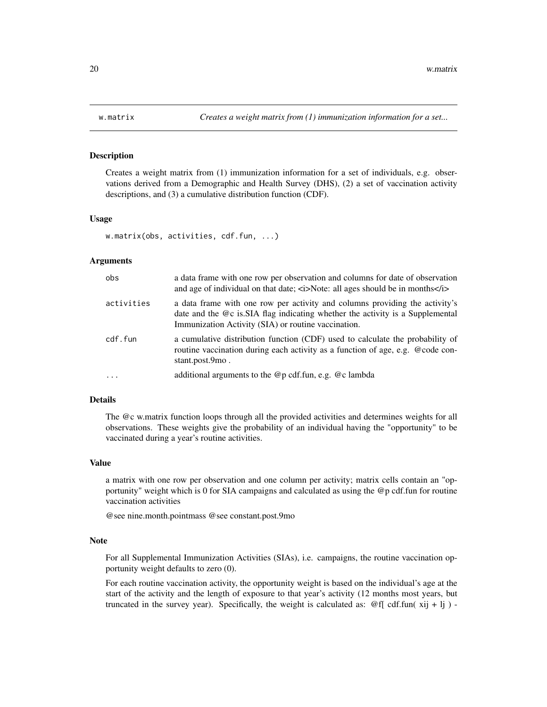# Description

Creates a weight matrix from (1) immunization information for a set of individuals, e.g. observations derived from a Demographic and Health Survey (DHS), (2) a set of vaccination activity descriptions, and (3) a cumulative distribution function (CDF).

#### Usage

```
w.matrix(obs, activities, cdf.fun, ...)
```
# Arguments

| obs        | a data frame with one row per observation and columns for date of observation<br>and age of individual on that date; $\langle i \rangle$ Note: all ages should be in months $\langle i \rangle$                     |
|------------|---------------------------------------------------------------------------------------------------------------------------------------------------------------------------------------------------------------------|
| activities | a data frame with one row per activity and columns providing the activity's<br>date and the @c is SIA flag indicating whether the activity is a Supplemental<br>Immunization Activity (SIA) or routine vaccination. |
| cdf.fun    | a cumulative distribution function (CDF) used to calculate the probability of<br>routine vaccination during each activity as a function of age, e.g. @code con-<br>stant.post.9mo.                                  |
| $\ddotsc$  | additional arguments to the $@p$ cdf. fun, e.g. $@c$ lambda                                                                                                                                                         |

# Details

The @c w.matrix function loops through all the provided activities and determines weights for all observations. These weights give the probability of an individual having the "opportunity" to be vaccinated during a year's routine activities.

# Value

a matrix with one row per observation and one column per activity; matrix cells contain an "opportunity" weight which is 0 for SIA campaigns and calculated as using the @p cdf.fun for routine vaccination activities

@see nine.month.pointmass @see constant.post.9mo

#### Note

For all Supplemental Immunization Activities (SIAs), i.e. campaigns, the routine vaccination opportunity weight defaults to zero (0).

For each routine vaccination activity, the opportunity weight is based on the individual's age at the start of the activity and the length of exposure to that year's activity (12 months most years, but truncated in the survey year). Specifically, the weight is calculated as:  $\mathcal{Q}[f]$  cdf.fun( xij + lj ) -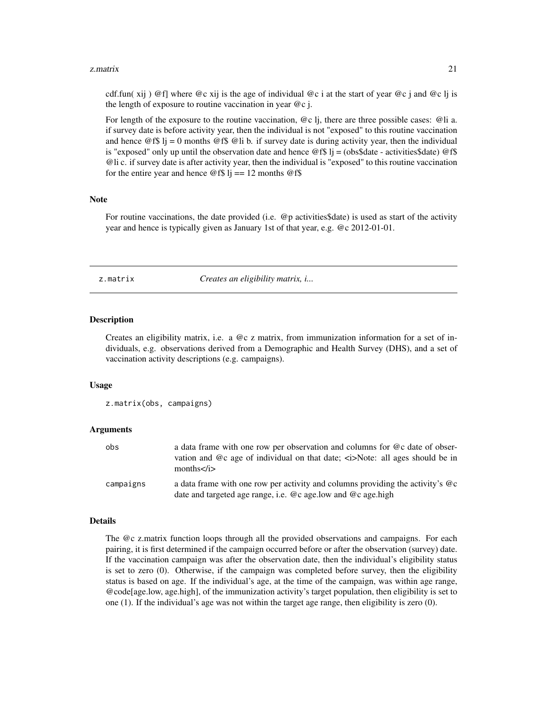#### <span id="page-20-0"></span>z. matrix 21

cdf.fun( xij) @f| where @c xij is the age of individual @c i at the start of year @c j and @c lj is the length of exposure to routine vaccination in year  $@c$  j.

For length of the exposure to the routine vaccination,  $\mathcal{Q}c$  li, there are three possible cases:  $\mathcal{Q}li$  a. if survey date is before activity year, then the individual is not "exposed" to this routine vaccination and hence  $\mathcal{Q}f\$  lj = 0 months  $\mathcal{Q}f\$   $\mathcal{Q}l$  b. if survey date is during activity year, then the individual is "exposed" only up until the observation date and hence  $\mathcal{Q}$ f\$ lj = (obs\$date - activities\$date)  $\mathcal{Q}$ f\$ @li c. if survey date is after activity year, then the individual is "exposed" to this routine vaccination for the entire year and hence  $\circledcirc$  f\$ lj = 12 months  $\circledcirc$  f\$

#### Note

For routine vaccinations, the date provided (i.e. @p activities\$date) is used as start of the activity year and hence is typically given as January 1st of that year, e.g. @c 2012-01-01.

z.matrix *Creates an eligibility matrix, i...*

### Description

Creates an eligibility matrix, i.e. a @c z matrix, from immunization information for a set of individuals, e.g. observations derived from a Demographic and Health Survey (DHS), and a set of vaccination activity descriptions (e.g. campaigns).

### Usage

z.matrix(obs, campaigns)

### Arguments

| obs       | a data frame with one row per observation and columns for @c date of obser-<br>vation and @c age of individual on that date; <i>Note: all ages should be in<br/>months<math>\langle i \rangle</math></i> |
|-----------|----------------------------------------------------------------------------------------------------------------------------------------------------------------------------------------------------------|
| campaigns | a data frame with one row per activity and columns providing the activity's @c<br>date and targeted age range, i.e. @c age.low and @c age.high                                                           |

#### Details

The @c z.matrix function loops through all the provided observations and campaigns. For each pairing, it is first determined if the campaign occurred before or after the observation (survey) date. If the vaccination campaign was after the observation date, then the individual's eligibility status is set to zero (0). Otherwise, if the campaign was completed before survey, then the eligibility status is based on age. If the individual's age, at the time of the campaign, was within age range, @code[age.low, age.high], of the immunization activity's target population, then eligibility is set to one (1). If the individual's age was not within the target age range, then eligibility is zero (0).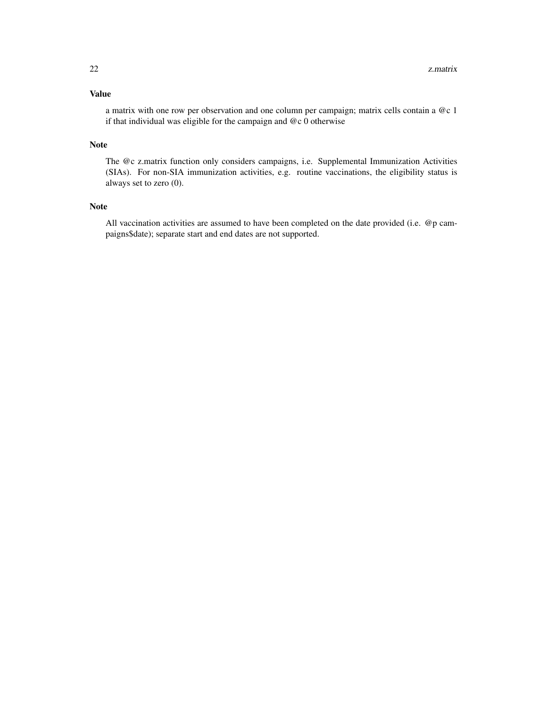# Value

a matrix with one row per observation and one column per campaign; matrix cells contain a @c 1 if that individual was eligible for the campaign and @c 0 otherwise

# Note

The @c z.matrix function only considers campaigns, i.e. Supplemental Immunization Activities (SIAs). For non-SIA immunization activities, e.g. routine vaccinations, the eligibility status is always set to zero (0).

# Note

All vaccination activities are assumed to have been completed on the date provided (i.e. @p campaigns\$date); separate start and end dates are not supported.